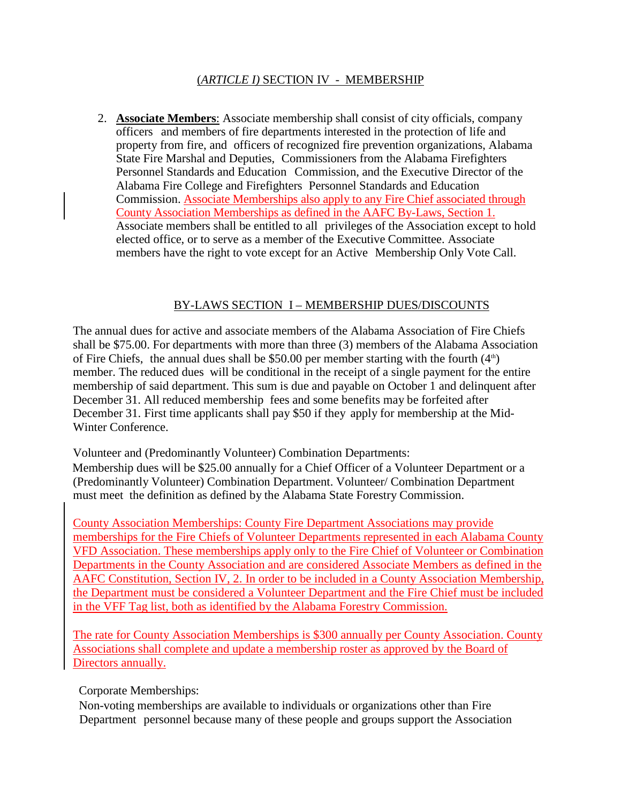## (*ARTICLE I)* SECTION IV - MEMBERSHIP

2. **Associate Members**: Associate membership shall consist of city officials, company officers and members of fire departments interested in the protection of life and property from fire, and officers of recognized fire prevention organizations, Alabama State Fire Marshal and Deputies, Commissioners from the Alabama Firefighters Personnel Standards and Education Commission, and the Executive Director of the Alabama Fire College and Firefighters Personnel Standards and Education Commission. Associate Memberships also apply to any Fire Chief associated through County Association Memberships as defined in the AAFC By-Laws, Section 1. Associate members shall be entitled to all privileges of the Association except to hold elected office, or to serve as a member of the Executive Committee. Associate members have the right to vote except for an Active Membership Only Vote Call.

## BY-LAWS SECTION I – MEMBERSHIP DUES/DISCOUNTS

The annual dues for active and associate members of the Alabama Association of Fire Chiefs shall be \$75.00. For departments with more than three (3) members of the Alabama Association of Fire Chiefs, the annual dues shall be \$50.00 per member starting with the fourth  $(4<sup>th</sup>)$ member. The reduced dues will be conditional in the receipt of a single payment for the entire membership of said department. This sum is due and payable on October 1 and delinquent after December 31. All reduced membership fees and some benefits may be forfeited after December 31. First time applicants shall pay \$50 if they apply for membership at the Mid-Winter Conference.

Volunteer and (Predominantly Volunteer) Combination Departments: Membership dues will be \$25.00 annually for a Chief Officer of a Volunteer Department or a (Predominantly Volunteer) Combination Department. Volunteer/ Combination Department must meet the definition as defined by the Alabama State Forestry Commission.

County Association Memberships: County Fire Department Associations may provide memberships for the Fire Chiefs of Volunteer Departments represented in each Alabama County VFD Association. These memberships apply only to the Fire Chief of Volunteer or Combination Departments in the County Association and are considered Associate Members as defined in the AAFC Constitution, Section IV, 2. In order to be included in a County Association Membership, the Department must be considered a Volunteer Department and the Fire Chief must be included in the VFF Tag list, both as identified by the Alabama Forestry Commission.

The rate for County Association Memberships is \$300 annually per County Association. County Associations shall complete and update a membership roster as approved by the Board of Directors annually.

Corporate Memberships:

Non-voting memberships are available to individuals or organizations other than Fire Department personnel because many of these people and groups support the Association